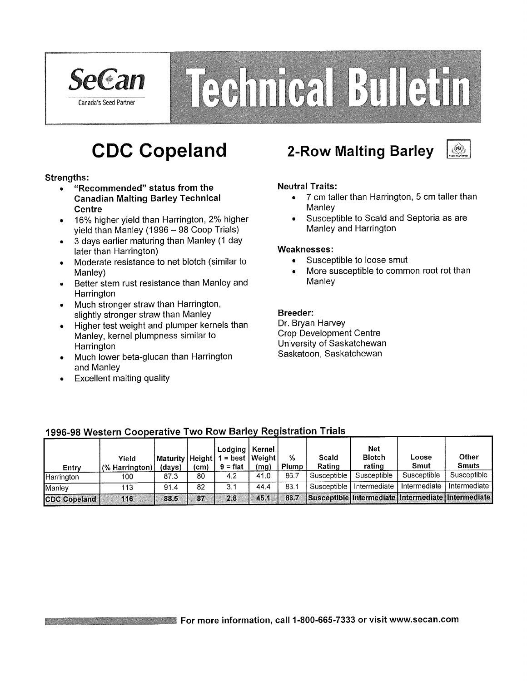

# Technical Bulletin

# **CDC Copeland**

#### **Strenaths:**

- "Recommended" status from the  $\bullet$ **Canadian Malting Barley Technical Centre**
- 16% higher yield than Harrington, 2% higher  $\bullet$ yield than Manley (1996 - 98 Coop Trials)
- 3 days earlier maturing than Manley (1 day  $\bullet$ later than Harrington)
- Moderate resistance to net blotch (similar to  $\bullet$ Manley)
- Better stem rust resistance than Manley and Harrington
- Much stronger straw than Harrington,  $\bullet$ slightly stronger straw than Manley
- Higher test weight and plumper kernels than  $\bullet$ Manley, kernel plumpness similar to Harrington
- Much lower beta-glucan than Harrington  $\bullet$ and Manley
- **Excellent malting quality**  $\bullet$

## **2-Row Malting Barley**



#### **Neutral Traits:**

- 7 cm taller than Harrington, 5 cm taller than  $\bullet$ Manlev
- Susceptible to Scald and Septoria as are Manley and Harrington

#### Weaknesses:

- Susceptible to loose smut  $\bullet$
- More susceptible to common root rot than Manley

#### **Breeder:**

Dr. Brvan Harvev **Crop Development Centre** University of Saskatchewan Saskatoon, Saskatchewan

| Entry               | Yield<br>$(%$ Harrington) | Maturity   Height  <br>(davs) | (cm) | Lodging   Kernel  <br>$1 = best   Weight  $<br>$9 = flat$ | (mq) | %<br>Plump | Scald<br>Rating | <b>Net</b><br><b>Blotch</b><br>rating | Loose<br>Smut                                             | Other<br><b>Smuts</b> |
|---------------------|---------------------------|-------------------------------|------|-----------------------------------------------------------|------|------------|-----------------|---------------------------------------|-----------------------------------------------------------|-----------------------|
| Harrington          | 100                       | 87.3                          | 80   | 4.2                                                       | 41.0 | 86.7       | Susceptible     | Susceptible                           | Susceptible                                               | Susceptible           |
| <b>Manley</b>       | 113                       | 91.4                          | 82   | 3.1                                                       | 44.4 | 83.1       | Susceptible     | Intermediate                          | Intermediate                                              | Intermediate          |
| <b>CDC Copeland</b> | 116                       | 88.5                          | 87   | 2.8                                                       | 45.1 | 86.7       |                 |                                       | <b>Susceptible Intermediate Intermediate Intermediate</b> |                       |

#### 1996-98 Western Cooperative Two Row Barley Registration Trials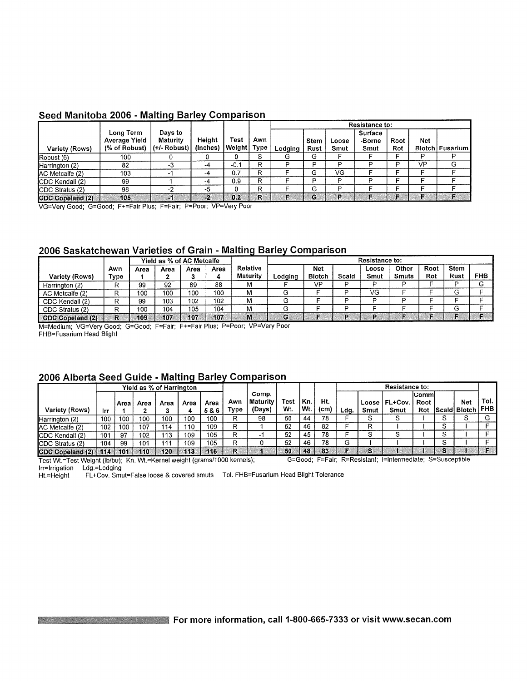|                  |                                             |                                         |                    |                     |     |         |              |               | <b>Resistance to:</b>     |             |            |                 |
|------------------|---------------------------------------------|-----------------------------------------|--------------------|---------------------|-----|---------|--------------|---------------|---------------------------|-------------|------------|-----------------|
| Variety (Rows)   | Long Term<br>Average Yield<br>(% of Robust) | Days to<br>Maturity<br>$ $ (+/- Robust) | Height<br>(Inches) | Test<br>Weight Type | Awn | Lodging | Stem<br>Rust | Loose<br>Smut | Surface<br>-Borne<br>Smut | Root<br>Rot | <b>Net</b> | Blotch Fusarium |
| Robust (6)       | 100                                         |                                         |                    | 0                   | S.  | G       | G            |               |                           |             | D          |                 |
| Harrington (2)   | 82                                          | -3                                      | -4                 | $-0.1$              | R   | o       | D            | D             | D                         | D           | VP         | G               |
| AC Metcalfe (2)  | 103                                         | $\cdot$                                 | -4                 | 0.7                 | R   |         | G            | VG            |                           |             |            |                 |
| CDC Kendall (2)  | 99                                          |                                         | -4                 | 0.9                 | R   |         | Þ            | Đ             | D                         |             |            |                 |
| CDC Stratus (2)  | 98                                          | -2                                      | -5                 | 0                   | R   |         | G            | Ð             |                           |             |            |                 |
| CDC Copeland (2) | 105                                         | $-1$                                    | -2                 | 0.2                 | R   | c       | G            | P             | Е                         | F           | г          | Æ               |

#### Seed Manitoba 2006 - Malting Barley Comparison

VG=Very Good; G=Good; F+=Fair Plus; F=Fair; P=Poor; VP=Very Poor

#### 2006 Saskatchewan Varieties of Grain - Malting Barley Comparison

|                         |      | Yield as % of AC Metcalfe |      |      |      |          | Resistance to: |               |       |       |              |      |             |            |  |
|-------------------------|------|---------------------------|------|------|------|----------|----------------|---------------|-------|-------|--------------|------|-------------|------------|--|
|                         | Awn  | Area                      | Area | Area | Area | Relative |                | <b>Net</b>    |       | Loose | Other        | Root | <b>Stem</b> |            |  |
| Variety (Rows)          | Type |                           |      |      |      | Maturity | Lodaina        | <b>Blotch</b> | Scald | Smut  | <b>Smuts</b> | Rot  | Rust        | <b>FHB</b> |  |
| Harrington (2)          | o    | 99                        | 92   | 89   | 88   | м        |                | VP            |       |       | ה            |      |             |            |  |
| AC Metcalfe (2)         |      | 100                       | 100  | 100  | 100  | м        | G              |               |       | VG    |              |      |             |            |  |
| CDC Kendall (2)         |      | 99                        | 103  | 102  | 102  | м        |                |               |       | D     | D            |      |             |            |  |
| CDC Stratus (2)         | n    | 100                       | 104  | 105  | 104  | М        |                |               |       |       |              |      |             |            |  |
| <b>CDC Copeland (2)</b> | R    | 109                       | 107  | 107  | 107  | M        | G              |               |       | ъ     |              |      |             |            |  |

M=Medium; VG=Very Good; G=Good; F=Fair; F+=Fair Plus; P=Poor; VP=Very Poor FHB=Fusarium Head Blight

#### 2006 Alberta Seed Guide - Malting Barley Comparison

| <b>Yield as % of Harrington</b> |     |         |      |      |      |             |             |                             |             |                    |                          |      |               | <b>Resistance to:</b> |                              |   |                                |        |
|---------------------------------|-----|---------|------|------|------|-------------|-------------|-----------------------------|-------------|--------------------|--------------------------|------|---------------|-----------------------|------------------------------|---|--------------------------------|--------|
| Variety (Rows)                  | Irr | ∣Area I | Area | Area | Area | Area<br>5&6 | Awn<br>Type | Comp.<br>Maturity<br>(Days) | Test<br>Wt. | <u>'Kn.</u><br>Wt. | Ht.<br>(c <sub>m</sub> ) | Ldg. | Loose<br>Smut | FL+Cov.  <br>Smut     | <b>ICommi</b><br>Root<br>Rot |   | <b>Net</b><br>Scald Blotch FHB | Tol. . |
| Harrington (2)                  | 100 | 100     | 100  | 100  | 100  | 100         | R           | 98                          | 50          | 44                 | 78                       |      | S             | S                     |                              | S | ٠J                             |        |
| AC Metcalfe (2)                 | 102 | 100     | 107  | 114  | 110  | 109         | R           |                             | 52          | 46                 | 82                       |      | R             |                       |                              | S |                                |        |
| CDC Kendall (2)                 | 101 | 97      | 102  | 113  | 109  | 105         | R           |                             | 52          | 45                 | 78                       |      | o             | ○                     |                              | S |                                |        |
| CDC Stratus (2)                 | 104 | 99      | 101  | 111  | 109  | 105         | R           |                             | 52          | 46                 | 78                       | G    |               |                       |                              | S |                                |        |
| $ CDC$ Copeland $(2)$           | 114 | 101     | 110  | 120  | 113  | 116         | R           |                             | -50         | 48                 | -83                      |      | S             |                       |                              | s |                                |        |

G=Good; F=Fair; R=Resistant; I=Intermediate; S=Susceptible Test Wt.=Test Weight (lb/bu); Kn. Wt.=Kernel weight (grams/1000 kernels); Irr=Irrigation Ldg.=Lodging

FL+Cov. Smut=False loose & covered smuts Tol. FHB=Fusarium Head Blight Tolerance Ht.=Height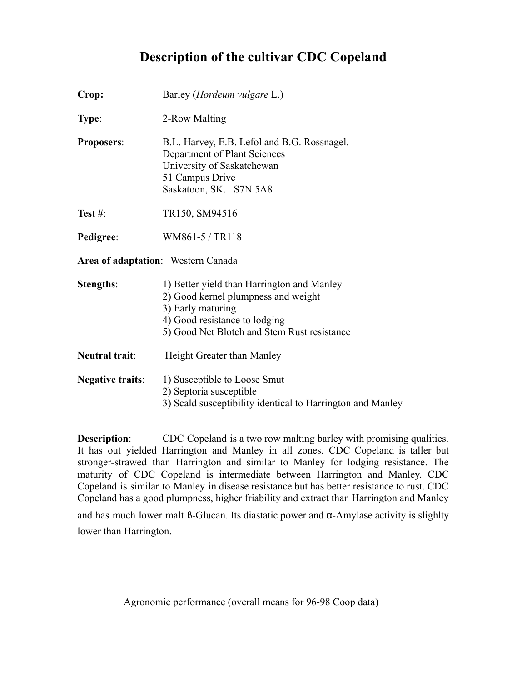### **Description of the cultivar CDC Copeland**

| Crop:                              | Barley ( <i>Hordeum vulgare L.</i> )                                                                                                                                                   |
|------------------------------------|----------------------------------------------------------------------------------------------------------------------------------------------------------------------------------------|
| Type:                              | 2-Row Malting                                                                                                                                                                          |
| <b>Proposers:</b>                  | B.L. Harvey, E.B. Lefol and B.G. Rossnagel.<br>Department of Plant Sciences<br>University of Saskatchewan<br>51 Campus Drive<br>Saskatoon, SK. S7N 5A8                                 |
| Test $#$ :                         | TR150, SM94516                                                                                                                                                                         |
| Pedigree:                          | WM861-5 / TR118                                                                                                                                                                        |
| Area of adaptation: Western Canada |                                                                                                                                                                                        |
| <b>Stengths:</b>                   | 1) Better yield than Harrington and Manley<br>2) Good kernel plumpness and weight<br>3) Early maturing<br>4) Good resistance to lodging<br>5) Good Net Blotch and Stem Rust resistance |
| Neutral trait:                     | Height Greater than Manley                                                                                                                                                             |
| <b>Negative traits:</b>            | 1) Susceptible to Loose Smut<br>2) Septoria susceptible<br>3) Scald susceptibility identical to Harrington and Manley                                                                  |

**Description:** CDC Copeland is a two row malting barley with promising qualities. It has out yielded Harrington and Manley in all zones. CDC Copeland is taller but stronger-strawed than Harrington and similar to Manley for lodging resistance. The maturity of CDC Copeland is intermediate between Harrington and Manley. CDC Copeland is similar to Manley in disease resistance but has better resistance to rust. CDC Copeland has a good plumpness, higher friability and extract than Harrington and Manley

and has much lower malt ß-Glucan. Its diastatic power and α-Amylase activity is slighlty lower than Harrington.

Agronomic performance (overall means for 96-98 Coop data)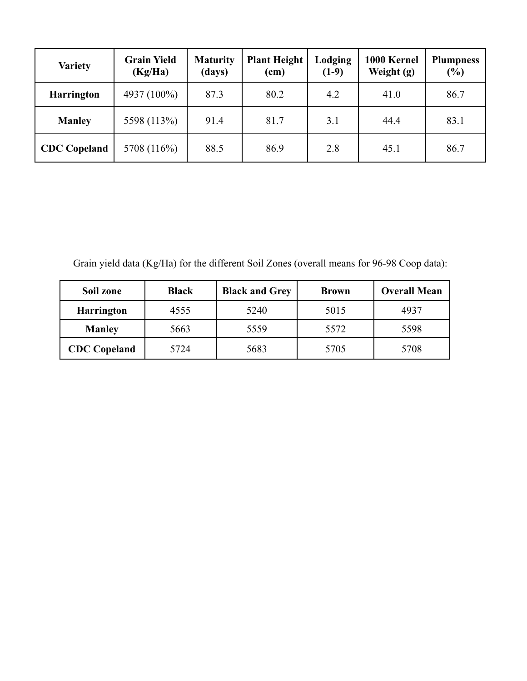| <b>Variety</b>      | <b>Grain Yield</b><br>(Kg/Ha) | <b>Maturity</b><br>(days) | <b>Plant Height</b><br>(cm) | Lodging<br>$(1-9)$ | 1000 Kernel<br>Weight (g) | <b>Plumpness</b><br>$(\%)$ |
|---------------------|-------------------------------|---------------------------|-----------------------------|--------------------|---------------------------|----------------------------|
| <b>Harrington</b>   | 4937 (100%)                   | 87.3                      | 80.2                        | 4.2                | 41.0                      | 86.7                       |
| <b>Manley</b>       | 5598 (113%)                   | 91.4                      | 81.7                        | 3.1                | 44.4                      | 83.1                       |
| <b>CDC</b> Copeland | 5708 (116%)                   | 88.5                      | 86.9                        | 2.8                | 45.1                      | 86.7                       |

Grain yield data (Kg/Ha) for the different Soil Zones (overall means for 96-98 Coop data):

| Soil zone           | <b>Black</b> | <b>Black and Grey</b> | <b>Brown</b> | <b>Overall Mean</b> |  |  |
|---------------------|--------------|-----------------------|--------------|---------------------|--|--|
| <b>Harrington</b>   | 4555         | 5240                  | 5015         | 4937                |  |  |
| <b>Manley</b>       | 5663         | 5559                  | 5572         | 5598                |  |  |
| <b>CDC</b> Copeland | 5724         | 5683                  | 5705         | 5708                |  |  |